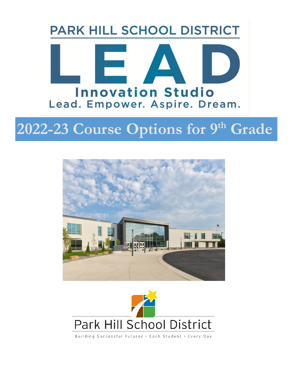## **PARK HILL SCHOOL DISTRICT**



# **2022-23 Course Options for 9th Grade**





Building Successful Futures . Each Student . Every Day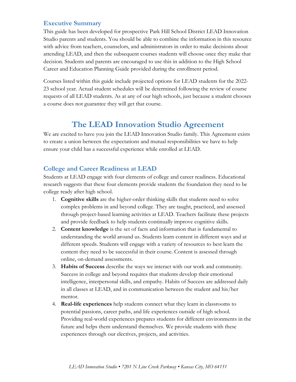#### **Executive Summary**

This guide has been developed for prospective Park Hill School District LEAD Innovation Studio parents and students. You should be able to combine the information in this resource with advice from teachers, counselors, and administrators in order to make decisions about attending LEAD, and then the subsequent courses students will choose once they make that decision. Students and parents are encouraged to use this in addition to the High School Career and Education Planning Guide provided during the enrollment period.

Courses listed within this guide include projected options for LEAD students for the 2022- 23 school year. Actual student schedules will be determined following the review of course requests of all LEAD students. As at any of our high schools, just because a student chooses a course does not guarantee they will get that course.

#### **The LEAD Innovation Studio Agreement**

We are excited to have you join the LEAD Innovation Studio family. This Agreement exists to create a union between the expectations and mutual responsibilities we have to help ensure your child has a successful experience while enrolled at LEAD.

#### **College and Career Readiness at LEAD**

Students at LEAD engage with four elements of college and career readiness. Educational research suggests that these four elements provide students the foundation they need to be college ready after high school.

- 1. **Cognitive skills** are the higher-order thinking skills that students need to solve complex problems in and beyond college. They are taught, practiced, and assessed through project-based learning activities at LEAD. Teachers facilitate these projects and provide feedback to help students continually improve cognitive skills.
- 2. **Content knowledge** is the set of facts and information that is fundamental to understanding the world around us. Students learn content in different ways and at different speeds. Students will engage with a variety of resources to best learn the content they need to be successful in their course. Content is assessed through online, on-demand assessments.
- 3. **Habits of Success** describe the ways we interact with our work and community. Success in college and beyond requires that students develop their emotional intelligence, interpersonal skills, and empathy. Habits of Success are addressed daily in all classes at LEAD, and in communication between the student and his/her mentor.
- 4. **Real-life experiences** help students connect what they learn in classrooms to potential passions, career paths, and life experiences outside of high school. Providing real-world experiences prepares students for different environments in the future and helps them understand themselves. We provide students with these experiences through our electives, projects, and activities.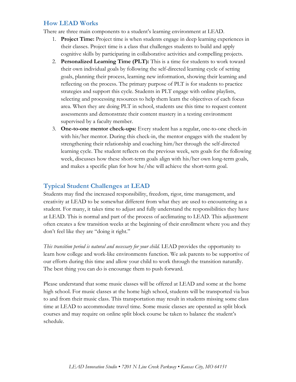#### **How LEAD Works**

There are three main components to a student's learning environment at LEAD.

- 1. **Project Time:** Project time is when students engage in deep learning experiences in their classes. Project time is a class that challenges students to build and apply cognitive skills by participating in collaborative activities and compelling projects.
- 2. **Personalized Learning Time (PLT):** This is a time for students to work toward their own individual goals by following the self-directed learning cycle of setting goals, planning their process, learning new information, showing their learning and reflecting on the process. The primary purpose of PLT is for students to practice strategies and support this cycle. Students in PLT engage with online playlists, selecting and processing resources to help them learn the objectives of each focus area. When they are doing PLT in school, students use this time to request content assessments and demonstrate their content mastery in a testing environment supervised by a faculty member.
- 3. **One-to-one mentor check-ups:** Every student has a regular, one-to-one check-in with his/her mentor. During this check-in, the mentor engages with the student by strengthening their relationship and coaching him/her through the self-directed learning cycle. The student reflects on the previous week, sets goals for the following week, discusses how these short-term goals align with his/her own long-term goals, and makes a specific plan for how he/she will achieve the short-term goal.

#### **Typical Student Challenges at LEAD**

Students may find the increased responsibility, freedom, rigor, time management, and creativity at LEAD to be somewhat different from what they are used to encountering as a student. For many, it takes time to adjust and fully understand the responsibilities they have at LEAD. This is normal and part of the process of acclimating to LEAD. This adjustment often creates a few transition weeks at the beginning of their enrollment where you and they don't feel like they are "doing it right."

*This transition period is natural and necessary for your child.* LEAD provides the opportunity to learn how college and work-like environments function. We ask parents to be supportive of our efforts during this time and allow your child to work through the transition naturally. The best thing you can do is encourage them to push forward.

Please understand that some music classes will be offered at LEAD and some at the home high school. For music classes at the home high school, students will be transported via bus to and from their music class. This transportation may result in students missing some class time at LEAD to accommodate travel time. Some music classes are operated as split block courses and may require on online split block course be taken to balance the student's schedule.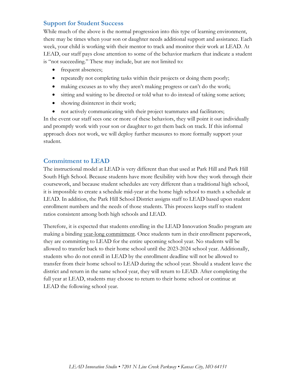#### **Support for Student Success**

While much of the above is the normal progression into this type of learning environment, there may be times when your son or daughter needs additional support and assistance. Each week, your child is working with their mentor to track and monitor their work at LEAD. At LEAD, our staff pays close attention to some of the behavior markers that indicate a student is "not succeeding." These may include, but are not limited to:

- frequent absences;
- repeatedly not completing tasks within their projects or doing them poorly;
- making excuses as to why they aren't making progress or can't do the work;
- sitting and waiting to be directed or told what to do instead of taking some action;
- showing disinterest in their work;
- not actively communicating with their project teammates and facilitators;

In the event our staff sees one or more of these behaviors, they will point it out individually and promptly work with your son or daughter to get them back on track. If this informal approach does not work, we will deploy further measures to more formally support your student.

#### **Commitment to LEAD**

The instructional model at LEAD is very different than that used at Park Hill and Park Hill South High School. Because students have more flexibility with how they work through their coursework, and because student schedules are very different than a traditional high school, it is impossible to create a schedule mid-year at the home high school to match a schedule at LEAD. In addition, the Park Hill School District assigns staff to LEAD based upon student enrollment numbers and the needs of those students. This process keeps staff to student ratios consistent among both high schools and LEAD.

Therefore, it is expected that students enrolling in the LEAD Innovation Studio program are making a binding year-long commitment. Once students turn in their enrollment paperwork, they are committing to LEAD for the entire upcoming school year. No students will be allowed to transfer back to their home school until the 2023-2024 school year. Additionally, students who do not enroll in LEAD by the enrollment deadline will not be allowed to transfer from their home school to LEAD during the school year. Should a student leave the district and return in the same school year, they will return to LEAD. After completing the full year at LEAD, students may choose to return to their home school or continue at LEAD the following school year.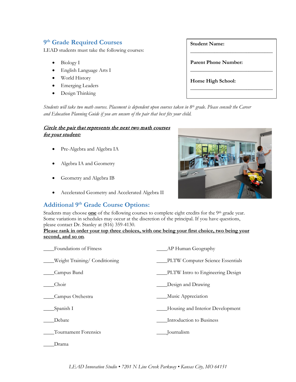#### **9th Grade Required Courses**

LEAD students must take the following courses:

- Biology I
- English Language Arts I
- World History
- Emerging Leaders
- Design Thinking

| <b>Student Name:</b>        |
|-----------------------------|
|                             |
| <b>Parent Phone Number:</b> |
| Home High School:           |
|                             |

*Students will take two math courses. Placement is dependent upon courses taken in 8th grade. Please consult the Career and Education Planning Guide if you are unsure of the pair that best fits your child.*

#### Circle the pair that represents the next two math courses for your student:

- Pre-Algebra and Algebra IA
- Algebra IA and Geometry
- Geometry and Algebra IB
- Accelerated Geometry and Accelerated Algebra II

#### **Additional 9th Grade Course Options:**

Students may choose **<u>one</u>** of the following courses to complete eight credits for the 9<sup>th</sup> grade year. Some variations in schedules may occur at the discretion of the principal. If you have questions, please contact Dr. Stanley at (816) 359-4130.

#### **Please rank in order your top three choices, with one being your first choice, two being your second, and so on***.*

| Foundations of Fitness       | AP Human Geography               |
|------------------------------|----------------------------------|
| Weight Training/Conditioning | PLTW Computer Science Essentials |
| Campus Band                  | PLTW Intro to Engineering Design |
| Choir                        | Design and Drawing               |
| Campus Orchestra             | Music Appreciation               |
| Spanish I                    | Housing and Interior Development |
| Debate                       | Introduction to Business         |
| Tournament Forensics         | Journalism                       |
| Drama                        |                                  |